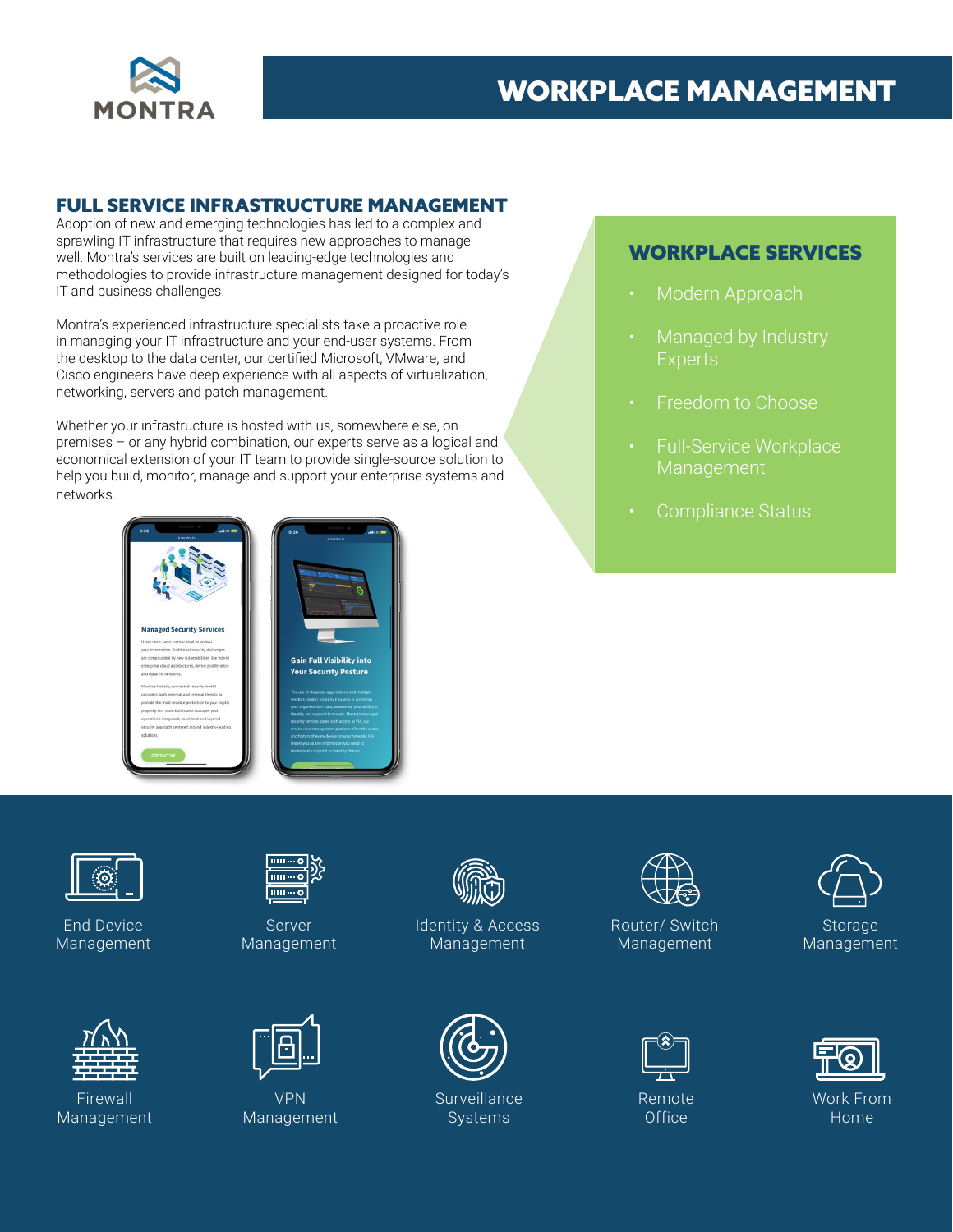

## WORKPLACE MANAGEMENT

#### FULL SERVICE INFRASTRUCTURE MANAGEMENT

Adoption of new and emerging technologies has led to a complex and sprawling IT infrastructure that requires new approaches to manage well. Montra's services are built on leading-edge technologies and methodologies to provide infrastructure management designed for today's IT and business challenges.

Montra's experienced infrastructure specialists take a proactive role in managing your IT infrastructure and your end-user systems. From the desktop to the data center, our certified Microsoft, VMware, and Cisco engineers have deep experience with all aspects of virtualization, networking, servers and patch management.

Whether your infrastructure is hosted with us, somewhere else, on premises – or any hybrid combination, our experts serve as a logical and economical extension of your IT team to provide single-source solution to help you build, monitor, manage and support your enterprise systems and networks.



### WORKPLACE SERVICES

- Modern Approach
- Managed by Industry **Experts**
- Freedom to Choose
- Full-Service Workplace Management
- Compliance Status



End Device Management



Firewall Management



Server Management



VPN Management



Identity & Access Management



**Surveillance** Systems



Router/ Switch Management



Remote **Office** 



Work From Home